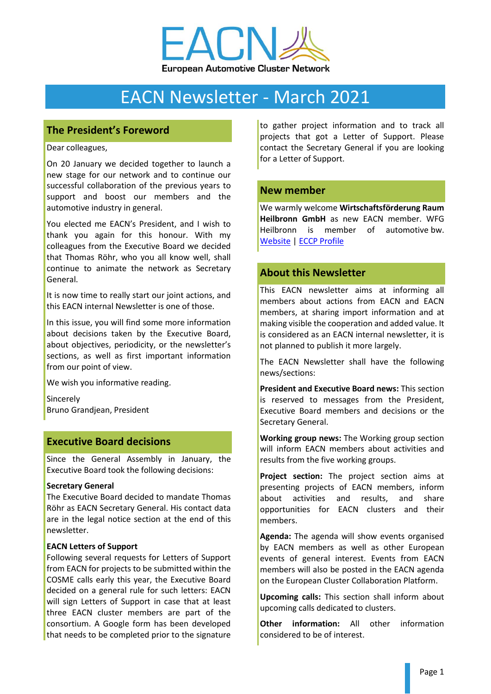

# EACN Newsletter - March 2021

## **The President's Foreword**

Dear colleagues,

On 20 January we decided together to launch a new stage for our network and to continue our successful collaboration of the previous years to support and boost our members and the automotive industry in general.

You elected me EACN's President, and I wish to thank you again for this honour. With my colleagues from the Executive Board we decided that Thomas Röhr, who you all know well, shall continue to animate the network as Secretary General.

It is now time to really start our joint actions, and this EACN internal Newsletter is one of those.

In this issue, you will find some more information about decisions taken by the Executive Board, about objectives, periodicity, or the newsletter's sections, as well as first important information from our point of view.

We wish you informative reading.

Sincerely Bruno Grandjean, President

## **Executive Board decisions**

Since the General Assembly in January, the Executive Board took the following decisions:

#### **Secretary General**

The Executive Board decided to mandate Thomas Röhr as EACN Secretary General. His contact data are in the legal notice section at the end of this newsletter.

#### **EACN Letters of Support**

Following several requests for Letters of Support from EACN for projects to be submitted within the COSME calls early this year, the Executive Board decided on a general rule for such letters: EACN will sign Letters of Support in case that at least three EACN cluster members are part of the consortium. A Google form has been developed that needs to be completed prior to the signature to gather project information and to track all projects that got a Letter of Support. Please contact the Secretary General if you are looking for a Letter of Support.

## **New member**

We warmly welcome **Wirtschaftsförderung Raum Heilbronn GmbH** as new EACN member. WFG Heilbronn is member of automotive bw. [Website](https://wfgheilbronn.de/) | ECCP [Profile](https://clustercollaboration.eu/cluster-organisations/metallkunststoffdialog?pk_vid=49c6e75940f75dba1614067668f3ba98)

# **About this Newsletter**

This EACN newsletter aims at informing all members about actions from EACN and EACN members, at sharing import information and at making visible the cooperation and added value. It is considered as an EACN internal newsletter, it is not planned to publish it more largely.

The EACN Newsletter shall have the following news/sections:

**President and Executive Board news:** This section is reserved to messages from the President, Executive Board members and decisions or the Secretary General.

**Working group news:** The Working group section will inform EACN members about activities and results from the five working groups.

**Project section:** The project section aims at presenting projects of EACN members, inform about activities and results, and share opportunities for EACN clusters and their members.

**Agenda:** The agenda will show events organised by EACN members as well as other European events of general interest. Events from EACN members will also be posted in the EACN agenda on the European Cluster Collaboration Platform.

**Upcoming calls:** This section shall inform about upcoming calls dedicated to clusters.

**Other information:** All other information considered to be of interest.